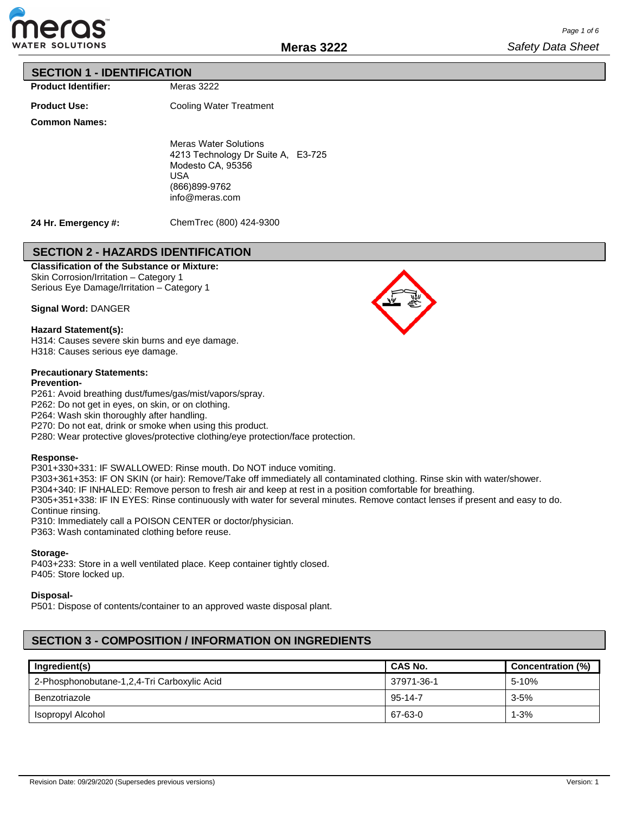

#### **SECTION 1 - IDENTIFICATION**

**Product Identifier:**

**Product Use:**

Cooling Water Treatment

Meras 3222

**Common Names:**

Meras Water Solutions 4213 Technology Dr Suite A, E3-725 Modesto CA, 95356 USA (866)899-9762 info@meras.com

**24 Hr. Emergency #:**

ChemTrec (800) 424-9300

## **SECTION 2 - HAZARDS IDENTIFICATION**

**Classification of the Substance or Mixture:** Skin Corrosion/Irritation – Category 1

Serious Eye Damage/Irritation – Category 1

**Signal Word:** DANGER

#### **Hazard Statement(s):**

H314: Causes severe skin burns and eye damage. H318: Causes serious eye damage.

#### **Precautionary Statements:**

#### **Prevention-**

P261: Avoid breathing dust/fumes/gas/mist/vapors/spray.

P262: Do not get in eyes, on skin, or on clothing.

P264: Wash skin thoroughly after handling.

P270: Do not eat, drink or smoke when using this product.

P280: Wear protective gloves/protective clothing/eye protection/face protection.

#### **Response-**

P301+330+331: IF SWALLOWED: Rinse mouth. Do NOT induce vomiting.

P303+361+353: IF ON SKIN (or hair): Remove/Take off immediately all contaminated clothing. Rinse skin with water/shower.

P304+340: IF INHALED: Remove person to fresh air and keep at rest in a position comfortable for breathing.

P305+351+338: IF IN EYES: Rinse continuously with water for several minutes. Remove contact lenses if present and easy to do.

Continue rinsing.

P310: Immediately call a POISON CENTER or doctor/physician.

P363: Wash contaminated clothing before reuse.

#### **Storage-**

P403+233: Store in a well ventilated place. Keep container tightly closed. P405: Store locked up.

#### **Disposal-**

P501: Dispose of contents/container to an approved waste disposal plant.

# **SECTION 3 - COMPOSITION / INFORMATION ON INGREDIENTS**

| Ingredient(s)                               | <b>CAS No.</b> | Concentration (%) |
|---------------------------------------------|----------------|-------------------|
| 2-Phosphonobutane-1,2,4-Tri Carboxylic Acid | 37971-36-1     | 5-10%             |
| Benzotriazole                               | 95-14-7        | $3 - 5%$          |
| Isopropyl Alcohol                           | 67-63-0        | $1 - 3%$          |

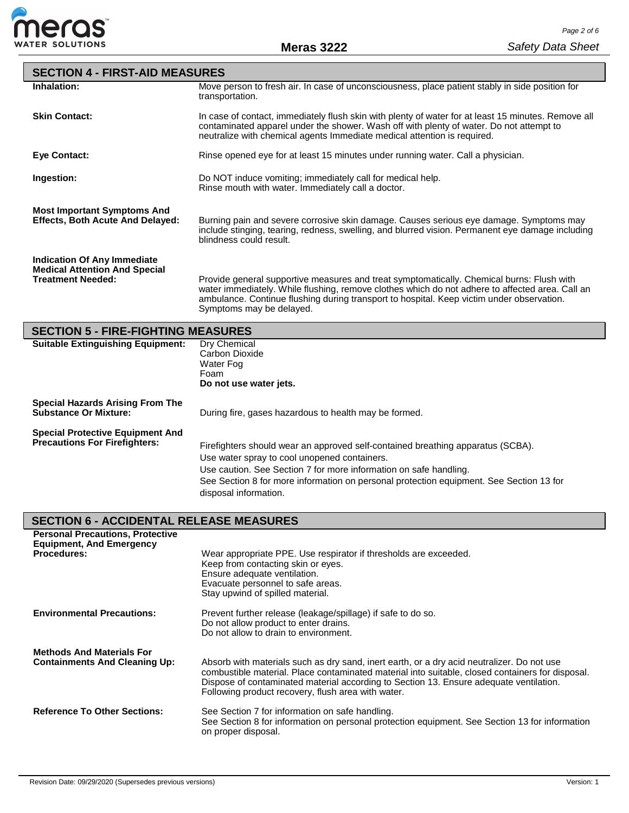

| <b>SECTION 4 - FIRST-AID MEASURES</b>                                                                  |                                                                                                                                                                                                                                                                                                                                                |  |  |  |  |  |
|--------------------------------------------------------------------------------------------------------|------------------------------------------------------------------------------------------------------------------------------------------------------------------------------------------------------------------------------------------------------------------------------------------------------------------------------------------------|--|--|--|--|--|
| Inhalation:                                                                                            | Move person to fresh air. In case of unconsciousness, place patient stably in side position for<br>transportation.                                                                                                                                                                                                                             |  |  |  |  |  |
| <b>Skin Contact:</b>                                                                                   | In case of contact, immediately flush skin with plenty of water for at least 15 minutes. Remove all<br>contaminated apparel under the shower. Wash off with plenty of water. Do not attempt to<br>neutralize with chemical agents Immediate medical attention is required.                                                                     |  |  |  |  |  |
| <b>Eye Contact:</b>                                                                                    | Rinse opened eye for at least 15 minutes under running water. Call a physician.                                                                                                                                                                                                                                                                |  |  |  |  |  |
| Ingestion:                                                                                             | Do NOT induce vomiting; immediately call for medical help.<br>Rinse mouth with water. Immediately call a doctor.                                                                                                                                                                                                                               |  |  |  |  |  |
| <b>Most Important Symptoms And</b><br><b>Effects, Both Acute And Delayed:</b>                          | Burning pain and severe corrosive skin damage. Causes serious eye damage. Symptoms may<br>include stinging, tearing, redness, swelling, and blurred vision. Permanent eye damage including<br>blindness could result.                                                                                                                          |  |  |  |  |  |
| <b>Indication Of Any Immediate</b><br><b>Medical Attention And Special</b><br><b>Treatment Needed:</b> | Provide general supportive measures and treat symptomatically. Chemical burns: Flush with<br>water immediately. While flushing, remove clothes which do not adhere to affected area. Call an<br>ambulance. Continue flushing during transport to hospital. Keep victim under observation.<br>Symptoms may be delayed.                          |  |  |  |  |  |
| <b>SECTION 5 - FIRE-FIGHTING MEASURES</b>                                                              |                                                                                                                                                                                                                                                                                                                                                |  |  |  |  |  |
| <b>Suitable Extinguishing Equipment:</b>                                                               | <b>Dry Chemical</b><br>Carbon Dioxide<br>Water Fog<br>Foam<br>Do not use water jets.                                                                                                                                                                                                                                                           |  |  |  |  |  |
| <b>Special Hazards Arising From The</b><br><b>Substance Or Mixture:</b>                                | During fire, gases hazardous to health may be formed.                                                                                                                                                                                                                                                                                          |  |  |  |  |  |
| <b>Special Protective Equipment And</b><br><b>Precautions For Firefighters:</b>                        | Firefighters should wear an approved self-contained breathing apparatus (SCBA).<br>Use water spray to cool unopened containers.<br>Use caution. See Section 7 for more information on safe handling.<br>See Section 8 for more information on personal protection equipment. See Section 13 for<br>disposal information.                       |  |  |  |  |  |
| <b>SECTION 6 - ACCIDENTAL RELEASE MEASURES</b>                                                         |                                                                                                                                                                                                                                                                                                                                                |  |  |  |  |  |
| <b>Personal Precautions, Protective</b><br><b>Equipment, And Emergency</b><br><b>Procedures:</b>       | Wear appropriate PPE. Use respirator if thresholds are exceeded.<br>Keep from contacting skin or eyes.<br>Ensure adequate ventilation.<br>Evacuate personnel to safe areas.<br>Stay upwind of spilled material.                                                                                                                                |  |  |  |  |  |
| <b>Environmental Precautions:</b>                                                                      | Prevent further release (leakage/spillage) if safe to do so.<br>Do not allow product to enter drains.<br>Do not allow to drain to environment.                                                                                                                                                                                                 |  |  |  |  |  |
| <b>Methods And Materials For</b><br><b>Containments And Cleaning Up:</b>                               | Absorb with materials such as dry sand, inert earth, or a dry acid neutralizer. Do not use<br>combustible material. Place contaminated material into suitable, closed containers for disposal.<br>Dispose of contaminated material according to Section 13. Ensure adequate ventilation.<br>Following product recovery, flush area with water. |  |  |  |  |  |
| <b>Reference To Other Sections:</b>                                                                    | See Section 7 for information on safe handling.<br>See Section 8 for information on personal protection equipment. See Section 13 for information<br>on proper disposal.                                                                                                                                                                       |  |  |  |  |  |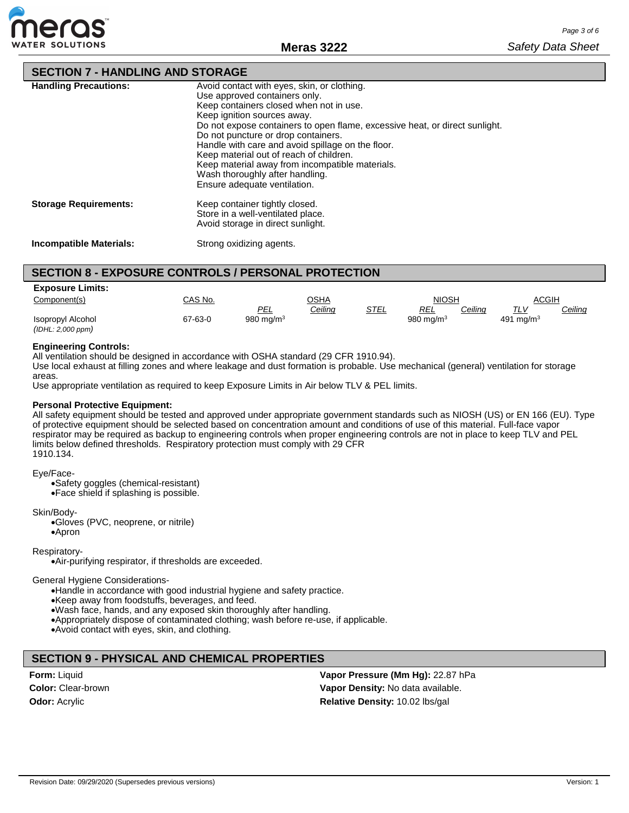

# **SECTION 7 - HANDLING AND STORAGE**

| <b>Handling Precautions:</b> | Avoid contact with eyes, skin, or clothing.<br>Use approved containers only.<br>Keep containers closed when not in use.<br>Keep ignition sources away.<br>Do not expose containers to open flame, excessive heat, or direct sunlight.<br>Do not puncture or drop containers.<br>Handle with care and avoid spillage on the floor.<br>Keep material out of reach of children.<br>Keep material away from incompatible materials.<br>Wash thoroughly after handling.<br>Ensure adequate ventilation. |
|------------------------------|----------------------------------------------------------------------------------------------------------------------------------------------------------------------------------------------------------------------------------------------------------------------------------------------------------------------------------------------------------------------------------------------------------------------------------------------------------------------------------------------------|
| <b>Storage Requirements:</b> | Keep container tightly closed.<br>Store in a well-ventilated place.<br>Avoid storage in direct sunlight.                                                                                                                                                                                                                                                                                                                                                                                           |

**Incompatible Materials:** Strong oxidizing agents.

# **SECTION 8 - EXPOSURE CONTROLS / PERSONAL PROTECTION**

| <b>Exposure Limits:</b> |         |              |         |      |              |         |              |                |
|-------------------------|---------|--------------|---------|------|--------------|---------|--------------|----------------|
| Component(s)            | CAS No. |              | OSHA    |      | <b>NIOSH</b> |         | ACGIH        |                |
|                         |         | PEL          | Ceiling | STEL | <b>REL</b>   | Ceiling | TLV          | <u>Ceiling</u> |
| Isopropyl Alcohol       | 67-63-0 | 980 mg/m $3$ |         |      | 980 mg/m $3$ |         | 491 mg/m $3$ |                |
| (IDHL: 2,000 ppm)       |         |              |         |      |              |         |              |                |

#### **Engineering Controls:**

All ventilation should be designed in accordance with OSHA standard (29 CFR 1910.94).

Use local exhaust at filling zones and where leakage and dust formation is probable. Use mechanical (general) ventilation for storage areas.

Use appropriate ventilation as required to keep Exposure Limits in Air below TLV & PEL limits.

#### **Personal Protective Equipment:**

All safety equipment should be tested and approved under appropriate government standards such as NIOSH (US) or EN 166 (EU). Type of protective equipment should be selected based on concentration amount and conditions of use of this material. Full-face vapor respirator may be required as backup to engineering controls when proper engineering controls are not in place to keep TLV and PEL limits below defined thresholds. Respiratory protection must comply with 29 CFR 1910.134.

#### Eye/Face-

•Safety goggles (chemical-resistant)

•Face shield if splashing is possible.

Skin/Body-

•Gloves (PVC, neoprene, or nitrile) •Apron

Respiratory-

•Air-purifying respirator, if thresholds are exceeded.

General Hygiene Considerations-

•Handle in accordance with good industrial hygiene and safety practice.

•Keep away from foodstuffs, beverages, and feed.

•Wash face, hands, and any exposed skin thoroughly after handling.

•Appropriately dispose of contaminated clothing; wash before re-use, if applicable.

•Avoid contact with eyes, skin, and clothing.

#### **SECTION 9 - PHYSICAL AND CHEMICAL PROPERTIES**

**Form:** Liquid **Color:** Clear-brown **Odor:** Acrylic

**Vapor Pressure (Mm Hg):** 22.87 hPa **Vapor Density:** No data available. **Relative Density:** 10.02 lbs/gal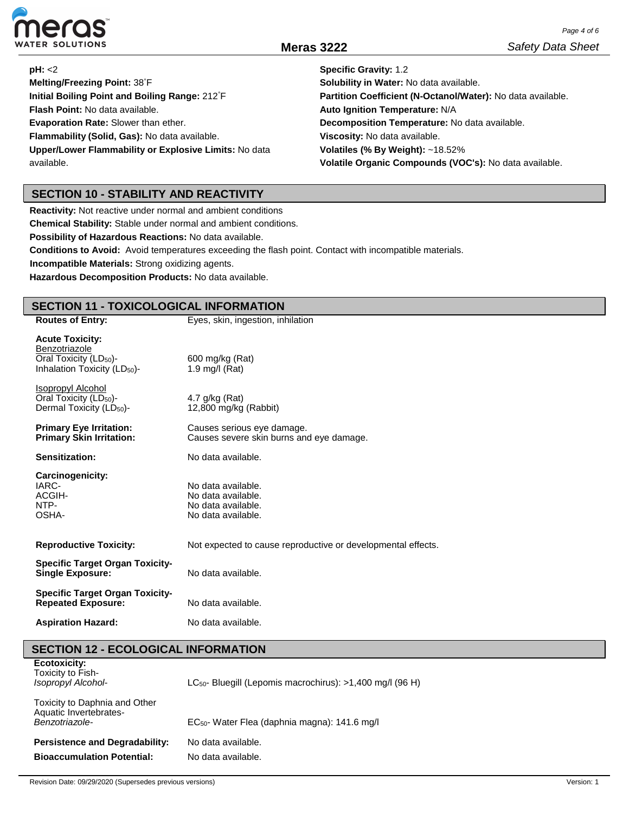

| <b>pH: &lt;2</b>                                            | <b>Specific Gravity: 1.2</b>                                |
|-------------------------------------------------------------|-------------------------------------------------------------|
| Melting/Freezing Point: 38°F                                | Solubility in Water: No data available.                     |
| Initial Boiling Point and Boiling Range: 212 <sup>°</sup> F | Partition Coefficient (N-Octanol/Water): No data available. |
| Flash Point: No data available.                             | Auto Ignition Temperature: N/A                              |
| Evaporation Rate: Slower than ether.                        | Decomposition Temperature: No data available.               |
| Flammability (Solid, Gas): No data available.               | Viscosity: No data available.                               |
| Upper/Lower Flammability or Explosive Limits: No data       | Volatiles (% By Weight): $~18.52\%$                         |
| available.                                                  | Volatile Organic Compounds (VOC's): No data available.      |

## **SECTION 10 - STABILITY AND REACTIVITY**

**Reactivity:** Not reactive under normal and ambient conditions

**Chemical Stability:** Stable under normal and ambient conditions.

**Possibility of Hazardous Reactions:** No data available.

**Conditions to Avoid:** Avoid temperatures exceeding the flash point. Contact with incompatible materials.

**Incompatible Materials:** Strong oxidizing agents.

**Hazardous Decomposition Products:** No data available.

## **SECTION 11 - TOXICOLOGICAL INFORMATION**

| <b>Routes of Entry:</b>                                                                                                   | Eyes, skin, ingestion, inhilation                                                    |
|---------------------------------------------------------------------------------------------------------------------------|--------------------------------------------------------------------------------------|
| <b>Acute Toxicity:</b><br>Benzotriazole<br>Oral Toxicity (LD <sub>50</sub> )-<br>Inhalation Toxicity (LD <sub>50</sub> )- | 600 mg/kg (Rat)<br>1.9 mg/l $(Rat)$                                                  |
| Isopropyl Alcohol<br>Oral Toxicity (LD <sub>50</sub> )-<br>Dermal Toxicity $(LD_{50})$ -                                  | 4.7 g/kg (Rat)<br>12,800 mg/kg (Rabbit)                                              |
| <b>Primary Eye Irritation:</b><br><b>Primary Skin Irritation:</b>                                                         | Causes serious eye damage.<br>Causes severe skin burns and eye damage.               |
| Sensitization:                                                                                                            | No data available.                                                                   |
| Carcinogenicity:<br>IARC-<br>ACGIH-<br>NTP-<br>OSHA-                                                                      | No data available.<br>No data available.<br>No data available.<br>No data available. |
| <b>Reproductive Toxicity:</b>                                                                                             | Not expected to cause reproductive or developmental effects.                         |
| <b>Specific Target Organ Toxicity-</b><br><b>Single Exposure:</b>                                                         | No data available.                                                                   |
| <b>Specific Target Organ Toxicity-</b><br><b>Repeated Exposure:</b>                                                       | No data available.                                                                   |
| <b>Aspiration Hazard:</b>                                                                                                 | No data available.                                                                   |

| <b>SECTION 12 - ECOLOGICAL INFORMATION</b>                                |                                                                |
|---------------------------------------------------------------------------|----------------------------------------------------------------|
| <b>Ecotoxicity:</b><br>Toxicity to Fish-<br>Isopropyl Alcohol-            | $LC_{50}$ - Bluegill (Lepomis macrochirus): >1,400 mg/l (96 H) |
| Toxicity to Daphnia and Other<br>Aquatic Invertebrates-<br>Benzotriazole- | EC <sub>50</sub> - Water Flea (daphnia magna): 141.6 mg/l      |
| <b>Persistence and Degradability:</b>                                     | No data available.                                             |
| <b>Bioaccumulation Potential:</b>                                         | No data available.                                             |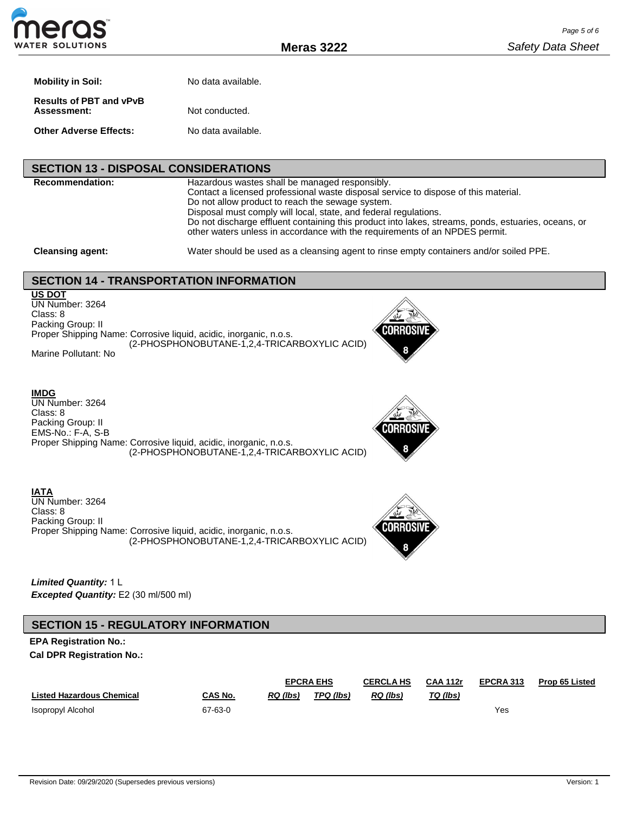**Meras 3222**

| Mobility in Soil:                             | No data available. |
|-----------------------------------------------|--------------------|
| <b>Results of PBT and vPvB</b><br>Assessment: | Not conducted.     |
| Other Adverse Effects:                        | No data available. |

#### **SECTION 13 - DISPOSAL CONSIDERATIONS**

**Recommendation:** Hazardous wastes shall be managed responsibly. Contact a licensed professional waste disposal service to dispose of this material. Do not allow product to reach the sewage system. Disposal must comply will local, state, and federal regulations. Do not discharge effluent containing this product into lakes, streams, ponds, estuaries, oceans, or other waters unless in accordance with the requirements of an NPDES permit.

**Cleansing agent:** Water should be used as a cleansing agent to rinse empty containers and/or soiled PPE.

## **SECTION 14 - TRANSPORTATION INFORMATION**

**US DOT** UN Number: 3264 Class: 8 Packing Group: II Proper Shipping Name: Corrosive liquid, acidic, inorganic, n.o.s. (2-PHOSPHONOBUTANE-1,2,4-TRICARBOXYLIC ACID) Marine Pollutant: No



**IMDG**

UN Number: 3264 Class: 8 Packing Group: II EMS-No.: F-A, S-B Proper Shipping Name: Corrosive liquid, acidic, inorganic, n.o.s. (2-PHOSPHONOBUTANE-1,2,4-TRICARBOXYLIC ACID)



**IATA** UN Number: 3264 Class: 8 Packing Group: II Proper Shipping Name: Corrosive liquid, acidic, inorganic, n.o.s. (2-PHOSPHONOBUTANE-1,2,4-TRICARBOXYLIC ACID)



*Limited Quantity:* 1 L *Excepted Quantity:* E2 (30 ml/500 ml)

## **SECTION 15 - REGULATORY INFORMATION**

### **EPA Registration No.: Cal DPR Registration No.:**

|                                  |         | <b>EPCRA EHS</b> |           | <b>CERCLA HS</b> | <b>CAA 112r</b> | EPCRA 313 | <b>Prop 65 Listed</b> |
|----------------------------------|---------|------------------|-----------|------------------|-----------------|-----------|-----------------------|
| <b>Listed Hazardous Chemical</b> | CAS No. | RQ (lbs)         | TPQ (lbs) | RQ (lbs)         | TQ (lbs)        |           |                       |
| Isopropyl Alcohol                | 67-63-0 |                  |           |                  |                 | Yes       |                       |